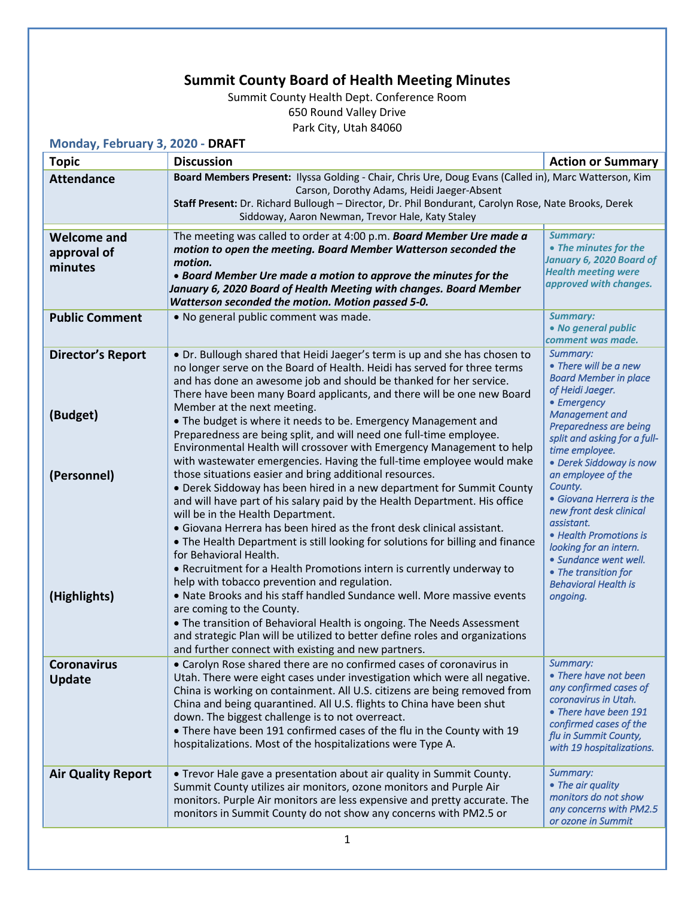## **Summit County Board of Health Meeting Minutes**

Summit County Health Dept. Conference Room 650 Round Valley Drive Park City, Utah 84060

**Monday, February 3, 2020 - DRAFT**

| $111011001$ , $1201001$ , $9$ , $2020$<br><b>Topic</b> | <b>Discussion</b>                                                                                                                                                                                                                                                                                                                                                                                                                                                                                       | <b>Action or Summary</b>                                                                                                                                                                                         |  |
|--------------------------------------------------------|---------------------------------------------------------------------------------------------------------------------------------------------------------------------------------------------------------------------------------------------------------------------------------------------------------------------------------------------------------------------------------------------------------------------------------------------------------------------------------------------------------|------------------------------------------------------------------------------------------------------------------------------------------------------------------------------------------------------------------|--|
| <b>Attendance</b>                                      | Board Members Present: Ilyssa Golding - Chair, Chris Ure, Doug Evans (Called in), Marc Watterson, Kim                                                                                                                                                                                                                                                                                                                                                                                                   |                                                                                                                                                                                                                  |  |
|                                                        | Carson, Dorothy Adams, Heidi Jaeger-Absent<br>Staff Present: Dr. Richard Bullough - Director, Dr. Phil Bondurant, Carolyn Rose, Nate Brooks, Derek<br>Siddoway, Aaron Newman, Trevor Hale, Katy Staley                                                                                                                                                                                                                                                                                                  |                                                                                                                                                                                                                  |  |
| <b>Welcome and</b><br>approval of<br>minutes           | The meeting was called to order at 4:00 p.m. Board Member Ure made a<br>motion to open the meeting. Board Member Watterson seconded the<br>motion.<br>• Board Member Ure made a motion to approve the minutes for the<br>January 6, 2020 Board of Health Meeting with changes. Board Member<br>Watterson seconded the motion. Motion passed 5-0.                                                                                                                                                        | <b>Summary:</b><br>• The minutes for the<br>January 6, 2020 Board of<br><b>Health meeting were</b><br>approved with changes.                                                                                     |  |
| <b>Public Comment</b>                                  | . No general public comment was made.                                                                                                                                                                                                                                                                                                                                                                                                                                                                   | <b>Summary:</b><br>• No general public<br>comment was made.                                                                                                                                                      |  |
| <b>Director's Report</b><br>(Budget)                   | • Dr. Bullough shared that Heidi Jaeger's term is up and she has chosen to<br>no longer serve on the Board of Health. Heidi has served for three terms<br>and has done an awesome job and should be thanked for her service.<br>There have been many Board applicants, and there will be one new Board<br>Member at the next meeting.                                                                                                                                                                   | Summary:<br>• There will be a new<br><b>Board Member in place</b><br>of Heidi Jaeger.<br>• Emergency<br><b>Management and</b>                                                                                    |  |
| (Personnel)                                            | • The budget is where it needs to be. Emergency Management and<br>Preparedness are being split, and will need one full-time employee.<br>Environmental Health will crossover with Emergency Management to help<br>with wastewater emergencies. Having the full-time employee would make<br>those situations easier and bring additional resources.                                                                                                                                                      | Preparedness are being<br>split and asking for a full-<br>time employee.<br>• Derek Siddoway is now<br>an employee of the                                                                                        |  |
|                                                        | • Derek Siddoway has been hired in a new department for Summit County<br>and will have part of his salary paid by the Health Department. His office<br>will be in the Health Department.<br>• Giovana Herrera has been hired as the front desk clinical assistant.<br>• The Health Department is still looking for solutions for billing and finance<br>for Behavioral Health.<br>• Recruitment for a Health Promotions intern is currently underway to<br>help with tobacco prevention and regulation. | County.<br>• Giovana Herrera is the<br>new front desk clinical<br>assistant.<br>• Health Promotions is<br>looking for an intern.<br>· Sundance went well.<br>• The transition for<br><b>Behavioral Health is</b> |  |
| (Highlights)                                           | • Nate Brooks and his staff handled Sundance well. More massive events<br>are coming to the County.<br>. The transition of Behavioral Health is ongoing. The Needs Assessment<br>and strategic Plan will be utilized to better define roles and organizations<br>and further connect with existing and new partners.                                                                                                                                                                                    | ongoing.                                                                                                                                                                                                         |  |
| <b>Coronavirus</b><br><b>Update</b>                    | • Carolyn Rose shared there are no confirmed cases of coronavirus in<br>Utah. There were eight cases under investigation which were all negative.<br>China is working on containment. All U.S. citizens are being removed from<br>China and being quarantined. All U.S. flights to China have been shut<br>down. The biggest challenge is to not overreact.<br>. There have been 191 confirmed cases of the flu in the County with 19<br>hospitalizations. Most of the hospitalizations were Type A.    | Summary:<br>• There have not been<br>any confirmed cases of<br>coronavirus in Utah.<br>• There have been 191<br>confirmed cases of the<br>flu in Summit County,<br>with 19 hospitalizations.                     |  |
| <b>Air Quality Report</b>                              | • Trevor Hale gave a presentation about air quality in Summit County.<br>Summit County utilizes air monitors, ozone monitors and Purple Air<br>monitors. Purple Air monitors are less expensive and pretty accurate. The<br>monitors in Summit County do not show any concerns with PM2.5 or                                                                                                                                                                                                            | Summary:<br>• The air quality<br>monitors do not show<br>any concerns with PM2.5<br>or ozone in Summit                                                                                                           |  |
| 1                                                      |                                                                                                                                                                                                                                                                                                                                                                                                                                                                                                         |                                                                                                                                                                                                                  |  |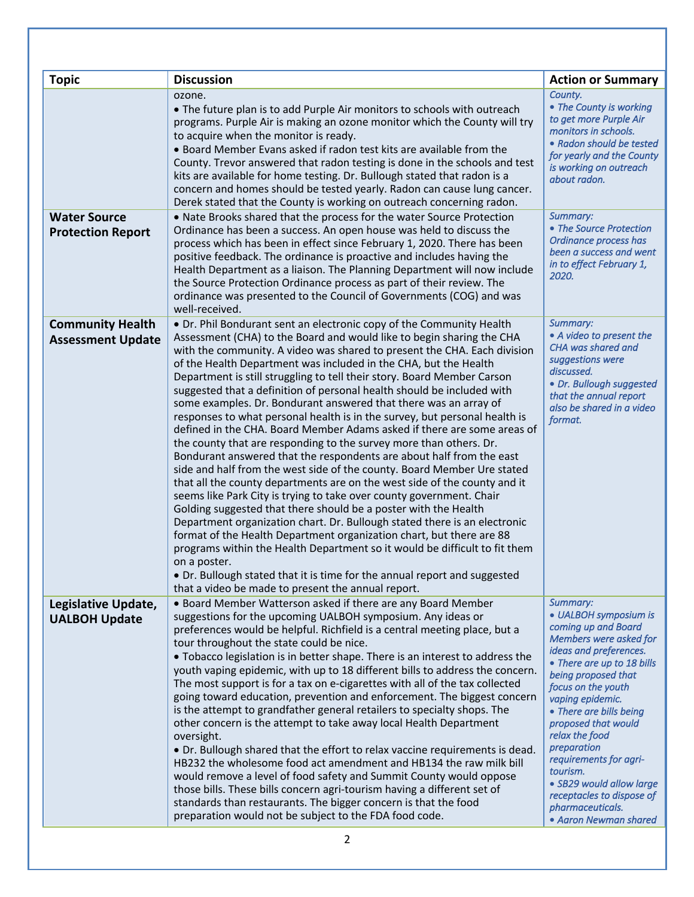| <b>Topic</b>                                        | <b>Discussion</b>                                                                                                                                                                                                                                                                                                                                                                                                                                                                                                                                                                                                                                                                                                                                                                                                                                                                                                                                                                                                                                                                                                                                                                                                                                                                                                                                                                                                                                                                                                      | <b>Action or Summary</b>                                                                                                                                                                                                                                                                                                                                                                                                                   |
|-----------------------------------------------------|------------------------------------------------------------------------------------------------------------------------------------------------------------------------------------------------------------------------------------------------------------------------------------------------------------------------------------------------------------------------------------------------------------------------------------------------------------------------------------------------------------------------------------------------------------------------------------------------------------------------------------------------------------------------------------------------------------------------------------------------------------------------------------------------------------------------------------------------------------------------------------------------------------------------------------------------------------------------------------------------------------------------------------------------------------------------------------------------------------------------------------------------------------------------------------------------------------------------------------------------------------------------------------------------------------------------------------------------------------------------------------------------------------------------------------------------------------------------------------------------------------------------|--------------------------------------------------------------------------------------------------------------------------------------------------------------------------------------------------------------------------------------------------------------------------------------------------------------------------------------------------------------------------------------------------------------------------------------------|
|                                                     | ozone.<br>• The future plan is to add Purple Air monitors to schools with outreach<br>programs. Purple Air is making an ozone monitor which the County will try<br>to acquire when the monitor is ready.<br>• Board Member Evans asked if radon test kits are available from the<br>County. Trevor answered that radon testing is done in the schools and test<br>kits are available for home testing. Dr. Bullough stated that radon is a<br>concern and homes should be tested yearly. Radon can cause lung cancer.<br>Derek stated that the County is working on outreach concerning radon.                                                                                                                                                                                                                                                                                                                                                                                                                                                                                                                                                                                                                                                                                                                                                                                                                                                                                                                         | County.<br>• The County is working<br>to get more Purple Air<br>monitors in schools.<br>• Radon should be tested<br>for yearly and the County<br>is working on outreach<br>about radon.                                                                                                                                                                                                                                                    |
| <b>Water Source</b><br><b>Protection Report</b>     | . Nate Brooks shared that the process for the water Source Protection<br>Ordinance has been a success. An open house was held to discuss the<br>process which has been in effect since February 1, 2020. There has been<br>positive feedback. The ordinance is proactive and includes having the<br>Health Department as a liaison. The Planning Department will now include<br>the Source Protection Ordinance process as part of their review. The<br>ordinance was presented to the Council of Governments (COG) and was<br>well-received.                                                                                                                                                                                                                                                                                                                                                                                                                                                                                                                                                                                                                                                                                                                                                                                                                                                                                                                                                                          | Summary:<br>• The Source Protection<br>Ordinance process has<br>been a success and went<br>in to effect February 1,<br>2020.                                                                                                                                                                                                                                                                                                               |
| <b>Community Health</b><br><b>Assessment Update</b> | • Dr. Phil Bondurant sent an electronic copy of the Community Health<br>Assessment (CHA) to the Board and would like to begin sharing the CHA<br>with the community. A video was shared to present the CHA. Each division<br>of the Health Department was included in the CHA, but the Health<br>Department is still struggling to tell their story. Board Member Carson<br>suggested that a definition of personal health should be included with<br>some examples. Dr. Bondurant answered that there was an array of<br>responses to what personal health is in the survey, but personal health is<br>defined in the CHA. Board Member Adams asked if there are some areas of<br>the county that are responding to the survey more than others. Dr.<br>Bondurant answered that the respondents are about half from the east<br>side and half from the west side of the county. Board Member Ure stated<br>that all the county departments are on the west side of the county and it<br>seems like Park City is trying to take over county government. Chair<br>Golding suggested that there should be a poster with the Health<br>Department organization chart. Dr. Bullough stated there is an electronic<br>format of the Health Department organization chart, but there are 88<br>programs within the Health Department so it would be difficult to fit them<br>on a poster.<br>. Dr. Bullough stated that it is time for the annual report and suggested<br>that a video be made to present the annual report. | Summary:<br>• A video to present the<br>CHA was shared and<br>suggestions were<br>discussed.<br>· Dr. Bullough suggested<br>that the annual report<br>also be shared in a video<br>format.                                                                                                                                                                                                                                                 |
| Legislative Update,<br><b>UALBOH Update</b>         | • Board Member Watterson asked if there are any Board Member<br>suggestions for the upcoming UALBOH symposium. Any ideas or<br>preferences would be helpful. Richfield is a central meeting place, but a<br>tour throughout the state could be nice.<br>. Tobacco legislation is in better shape. There is an interest to address the<br>youth vaping epidemic, with up to 18 different bills to address the concern.<br>The most support is for a tax on e-cigarettes with all of the tax collected<br>going toward education, prevention and enforcement. The biggest concern<br>is the attempt to grandfather general retailers to specialty shops. The<br>other concern is the attempt to take away local Health Department<br>oversight.<br>• Dr. Bullough shared that the effort to relax vaccine requirements is dead.<br>HB232 the wholesome food act amendment and HB134 the raw milk bill<br>would remove a level of food safety and Summit County would oppose<br>those bills. These bills concern agri-tourism having a different set of<br>standards than restaurants. The bigger concern is that the food<br>preparation would not be subject to the FDA food code.                                                                                                                                                                                                                                                                                                                                      | Summary:<br>• UALBOH symposium is<br>coming up and Board<br>Members were asked for<br>ideas and preferences.<br>• There are up to 18 bills<br>being proposed that<br>focus on the youth<br>vaping epidemic.<br>• There are bills being<br>proposed that would<br>relax the food<br>preparation<br>requirements for agri-<br>tourism.<br>• SB29 would allow large<br>receptacles to dispose of<br>pharmaceuticals.<br>• Aaron Newman shared |